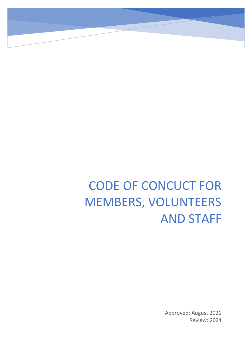# CODE OF CONCUCT FOR MEMBERS, VOLUNTEERS AND STAFF

Approved: August 2021 Review: 2024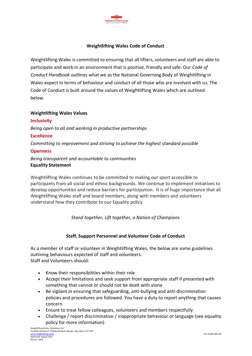

## **Weightlifting Wales Code of Conduct**

Weightlifting Wales is committed to ensuring that all lifters, volunteers and staff are able to participate and work in an environment that is positive, friendly and safe. Our *Code of Conduct Handbook* outlines what we as the National Governing Body of Weightlifting in Wales expect in terms of behaviour and conduct of all those who are involved with us. The Code of Conduct is built around the values of Weightlifting Wales which are outlined below.

#### **Weightlifting Wales Values**

**Inclusivity** *Being open to all and working in productive partnerships* **Excellence** *Committing to improvement and striving to achieve the highest standard possible* **Openness** *Being transparent and accountable to communities* **Equality Statement**

Weightlifting Wales continues to be committed to making our sport accessible to participants from all social and ethnic backgrounds. We continue to implement initiatives to develop opportunities and reduce barriers for participation. It is of huge importance that all Weightlifting Wales staff and board members, along with members and volunteers understand how they contribute to our Equality policy.

*Stand together, Lift together, a Nation of Champions*

## **Staff, Support Personnel and Volunteer Code of Conduct**

As a member of staff or volunteer in Weightlifting Wales, the below are some guidelines outlining behaviours expected of staff and volunteers: Staff and Volunteers should:

- Know their responsibilities within their role
- Accept their limitations and seek support from appropriate staff if presented with something that cannot or should not be dealt with alone
- Be vigilant in ensuring that safeguarding, anti-bullying and anti-discrimination policies and procedures are followed. You have a duty to report anything that causes concern
- Ensure to treat fellow colleagues, volunteers and members respectfully
- Challenge / report discriminative / inappropriate behaviour or language (see equality policy for more information)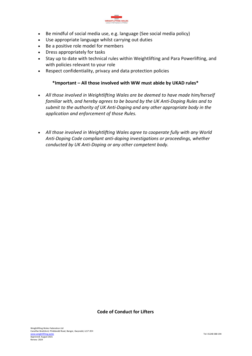

- Be mindful of social media use, e.g. language (See social media policy)
- Use appropriate language whilst carrying out duties
- Be a positive role model for members
- Dress appropriately for tasks
- Stay up to date with technical rules within Weightlifting and Para Powerlifting, and with policies relevant to your role
- Respect confidentiality, privacy and data protection policies

### **\*Important – All those involved with WW must abide by UKAD rules\***

- *All those involved in Weightlifting Wales are be deemed to have made him/herself familiar with, and hereby agrees to be bound by the UK Anti-Doping Rules and to submit to the authority of UK Anti-Doping and any other appropriate body in the application and enforcement of those Rules.*
- *All those involved in Weightlifting Wales agree to cooperate fully with any World Anti-Doping Code compliant anti-doping investigations or proceedings, whether conducted by UK Anti-Doping or any other competent body.*

#### **Code of Conduct for Lifters**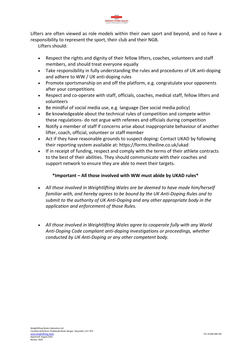

Lifters are often viewed as role models within their own sport and beyond, and so have a responsibility to represent the sport, their club and their NGB.

Lifters should:

- Respect the rights and dignity of their fellow lifters, coaches, volunteers and staff members, and should treat everyone equally
- Take responsibility in fully understanding the rules and procedures of UK anti-doping and adhere to WW / UK anti-doping rules
- Promote sportsmanship on and off the platform, e.g. congratulate your opponents after your competitions
- Respect and co-operate with staff, officials, coaches, medical staff, fellow lifters and volunteers
- Be mindful of social media use, e.g. language (See social media policy)
- Be knowledgeable about the technical rules of competition and compete within these regulations- do not argue with referees and officials during competition
- Notify a member of staff if concerns arise about inappropriate behaviour of another lifter, coach, official, volunteer or staff member
- Act if they have reasonable grounds to suspect doping: Contact UKAD by following their reporting system available at: https://forms.theiline.co.uk/ukad
- If in receipt of funding, respect and comply with the terms of their athlete contracts to the best of their abilities. They should communicate with their coaches and support network to ensure they are able to meet their targets.

## **\*Important – All those involved with WW must abide by UKAD rules\***

- *All those involved in Weightlifting Wales are be deemed to have made him/herself familiar with, and hereby agrees to be bound by the UK Anti-Doping Rules and to submit to the authority of UK Anti-Doping and any other appropriate body in the application and enforcement of those Rules.*
- *All those involved in Weightlifting Wales agree to cooperate fully with any World Anti-Doping Code compliant anti-doping investigations or proceedings, whether conducted by UK Anti-Doping or any other competent body.*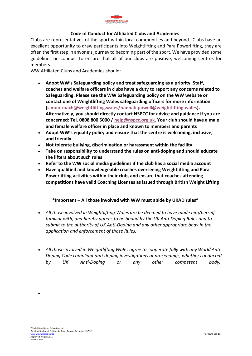

## **Code of Conduct for Affiliated Clubs and Academies**

Clubs are representatives of the sport within local communities and beyond. Clubs have an excellent opportunity to draw participants into Weightlifting and Para Powerlifting, they are often the first step in anyone's journey to becoming part of the sport. We have provided some guidelines on conduct to ensure that all of our clubs are positive, welcoming centres for members.

WW Affiliated Clubs and Academies should:

- **Adopt WW's Safeguarding policy and treat safeguarding as a priority. Staff, coaches and welfare officers in clubs have a duty to report any concerns related to Safeguarding. Please see the WW Safeguarding policy on the WW website or contact one of Weightlifting Wales safeguarding officers for more information [\(simon.roach@weightlifting.wales/hannah.powell@weightlifting.wales\)](mailto:simon.roach@weightlifting.wales/hannah.powell@weightlifting.wales). Alternatively, you should directly contact NSPCC for advice and guidance if you are concerned: Tel. 0808 800 5000 / [help@nspcc.org.uk.](mailto:help@nspcc.org.uk) Your club should have a male and female welfare officer in place and known to members and parents**
- **Adopt WW's equality policy and ensure that the centre is welcoming, inclusive, and friendly**
- **Not tolerate bullying, discrimination or harassment within the facility**
- **Take on responsibility to understand the rules on anti-doping and should educate the lifters about such rules**
- **Refer to the WW social media guidelines if the club has a social media account**
- **Have qualified and knowledgeable coaches overseeing Weightlifting and Para Powerlifting activities within their club, and ensure that coaches attending competitions have valid Coaching Licenses as issued through British Weight Lifting**

## **\*Important – All those involved with WW must abide by UKAD rules\***

- *All those involved in Weightlifting Wales are be deemed to have made him/herself familiar with, and hereby agrees to be bound by the UK Anti-Doping Rules and to submit to the authority of UK Anti-Doping and any other appropriate body in the application and enforcement of those Rules.*
- *All those involved in Weightlifting Wales agree to cooperate fully with any World Anti-Doping Code compliant anti-doping investigations or proceedings, whether conducted by UK Anti-Doping or any other competent body.*

•